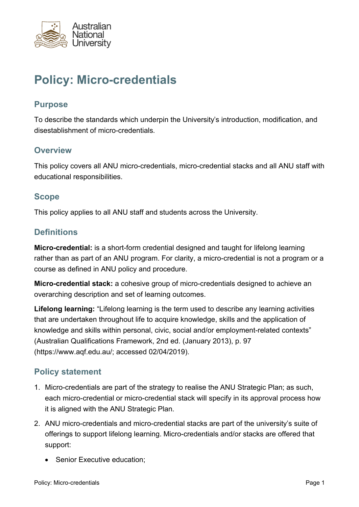

# **Policy: Micro-credentials**

#### **Purpose**

To describe the standards which underpin the University's introduction, modification, and disestablishment of micro-credentials.

#### **Overview**

This policy covers all ANU micro-credentials, micro-credential stacks and all ANU staff with educational responsibilities.

#### **Scope**

This policy applies to all ANU staff and students across the University.

### **Definitions**

**Micro-credential:** is a short-form credential designed and taught for lifelong learning rather than as part of an ANU program. For clarity, a micro-credential is not a program or a course as defined in ANU policy and procedure.

**Micro-credential stack:** a cohesive group of micro-credentials designed to achieve an overarching description and set of learning outcomes.

**Lifelong learning:** "Lifelong learning is the term used to describe any learning activities that are undertaken throughout life to acquire knowledge, skills and the application of knowledge and skills within personal, civic, social and/or employment-related contexts" (Australian Qualifications Framework, 2nd ed. (January 2013), p. 97 (https://www.aqf.edu.au/; accessed 02/04/2019).

## **Policy statement**

- 1. Micro-credentials are part of the strategy to realise the ANU Strategic Plan; as such, each micro-credential or micro-credential stack will specify in its approval process how it is aligned with the ANU Strategic Plan.
- 2. ANU micro-credentials and micro-credential stacks are part of the university's suite of offerings to support lifelong learning. Micro-credentials and/or stacks are offered that support:
	- Senior Executive education;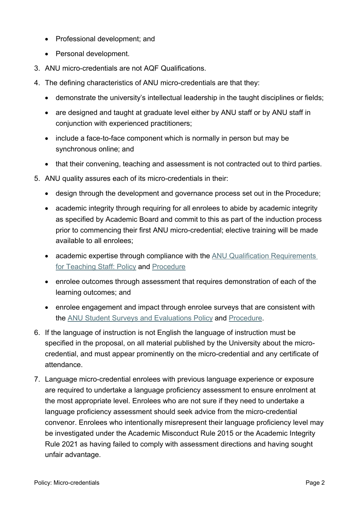- Professional development; and
- Personal development.
- 3. ANU micro-credentials are not AQF Qualifications.
- 4. The defining characteristics of ANU micro-credentials are that they:
	- demonstrate the university's intellectual leadership in the taught disciplines or fields;
	- are designed and taught at graduate level either by ANU staff or by ANU staff in conjunction with experienced practitioners;
	- include a face-to-face component which is normally in person but may be synchronous online; and
	- that their convening, teaching and assessment is not contracted out to third parties.
- 5. ANU quality assures each of its micro-credentials in their:
	- design through the development and governance process set out in the Procedure;
	- academic integrity through requiring for all enrolees to abide by academic integrity as specified by Academic Board and commit to this as part of the induction process prior to commencing their first ANU micro-credential; elective training will be made available to all enrolees;
	- academic expertise through compliance with the [ANU Qualification Requirements](https://policies.anu.edu.au/ppl/document/ANUP_016607)  [for Teaching Staff: Policy](https://policies.anu.edu.au/ppl/document/ANUP_016607) and [Procedure](https://policies.anu.edu.au/ppl/document/ANUP_016608)
	- enrolee outcomes through assessment that requires demonstration of each of the learning outcomes; and
	- enrolee engagement and impact through enrolee surveys that are consistent with the [ANU Student Surveys and Evaluations Policy](https://policies.anu.edu.au/ppl/document/ANUP_004601) and [Procedure](https://policies.anu.edu.au/ppl/document/ANUP_004602).
- 6. If the language of instruction is not English the language of instruction must be specified in the proposal, on all material published by the University about the microcredential, and must appear prominently on the micro-credential and any certificate of attendance.
- 7. Language micro-credential enrolees with previous language experience or exposure are required to undertake a language proficiency assessment to ensure enrolment at the most appropriate level. Enrolees who are not sure if they need to undertake a language proficiency assessment should seek advice from the micro-credential convenor. Enrolees who intentionally misrepresent their language proficiency level may be investigated under the Academic Misconduct Rule 2015 or the Academic Integrity Rule 2021 as having failed to comply with assessment directions and having sought unfair advantage.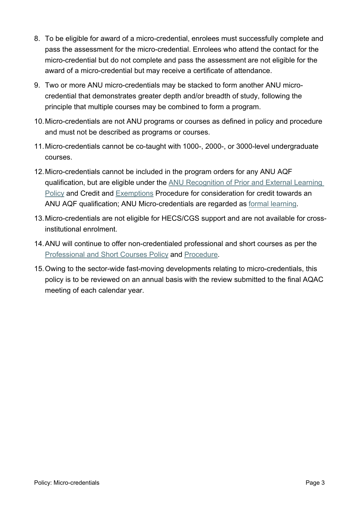- 8. To be eligible for award of a micro-credential, enrolees must successfully complete and pass the assessment for the micro-credential. Enrolees who attend the contact for the micro-credential but do not complete and pass the assessment are not eligible for the award of a micro-credential but may receive a certificate of attendance.
- 9. Two or more ANU micro-credentials may be stacked to form another ANU microcredential that demonstrates greater depth and/or breadth of study, following the principle that multiple courses may be combined to form a program.
- 10.Micro-credentials are not ANU programs or courses as defined in policy and procedure and must not be described as programs or courses.
- 11.Micro-credentials cannot be co-taught with 1000-, 2000-, or 3000-level undergraduate courses.
- 12.Micro-credentials cannot be included in the program orders for any ANU AQF qualification, but are eligible under the [ANU Recognition of Prior and External Learning](https://policies.anu.edu.au/ppl/document/ANUP_6278391)  [Policy](https://policies.anu.edu.au/ppl/document/ANUP_6278391) and Credit and [Exemptions](https://policies.anu.edu.au/ppl/document/ANUP_002612) Procedure for consideration for credit towards an ANU AQF qualification; ANU Micro-credentials are regarded as [formal learning](https://policies.anu.edu.au/ppl/document/ANUP_002601).
- 13.Micro-credentials are not eligible for HECS/CGS support and are not available for crossinstitutional enrolment.
- 14.ANU will continue to offer non-credentialed professional and short courses as per the [Professional and Short Courses Policy](https://policies.anu.edu.au/ppl/document/ANUP_009007) and [Procedure](https://policies.anu.edu.au/ppl/document/ANUP_009008).
- 15.Owing to the sector-wide fast-moving developments relating to micro-credentials, this policy is to be reviewed on an annual basis with the review submitted to the final AQAC meeting of each calendar year.